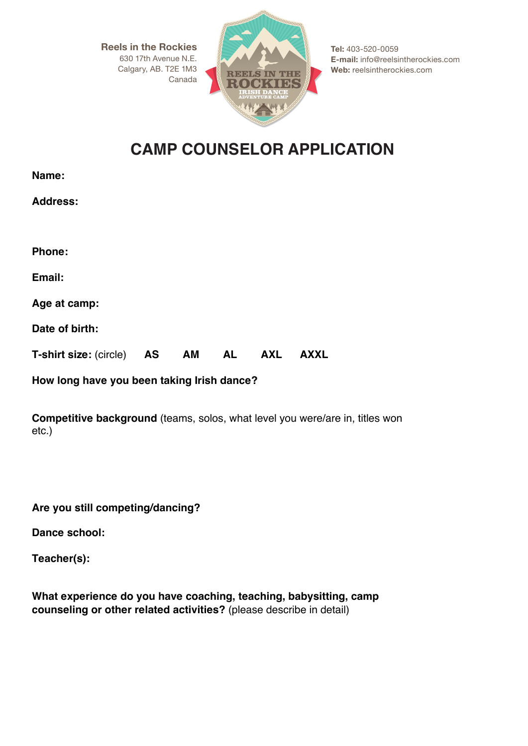**Reels in the Rockies** 630 17th Avenue N.E. Calgary, AB. T2E 1M3 Canada



**Tel:** 403-520-0059 **E-mail:** info@reelsintherockies.com **Web:** reelsintherockies.com

## **CAMP COUNSELOR APPLICATION**

| <b>Address:</b>               |    |       |            |             |
|-------------------------------|----|-------|------------|-------------|
| Phone:                        |    |       |            |             |
| Email:                        |    |       |            |             |
| Age at camp:                  |    |       |            |             |
| Date of birth:                |    |       |            |             |
| <b>T-shirt size: (circle)</b> | AS | AM AL | <b>AXL</b> | <b>AXXL</b> |

**How long have you been taking Irish dance?** 

**Competitive background** (teams, solos, what level you were/are in, titles won etc.)

**Are you still competing/dancing?**

**Dance school:**

**Teacher(s):**

**Name:** 

**What experience do you have coaching, teaching, babysitting, camp counseling or other related activities?** (please describe in detail)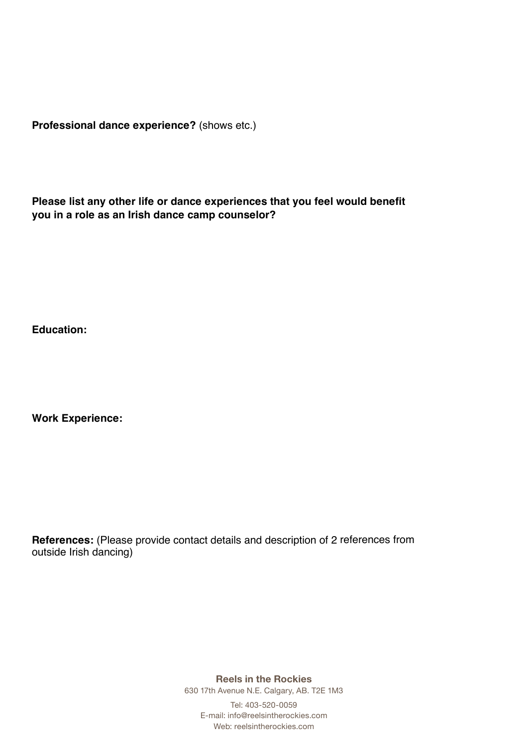**Professional dance experience?** (shows etc.)

**Please list any other life or dance experiences that you feel would benefit you in a role as an Irish dance camp counselor?**

**Education:**

**Work Experience:**

**References:** (Please provide contact details and description of 2 references from outside Irish dancing)

**Reels in the Rockies**

630 17th Avenue N.E. Calgary, AB. T2E 1M3

Tel: 403-520-0059 E-mail: info@reelsintherockies.com Web: reelsintherockies.com